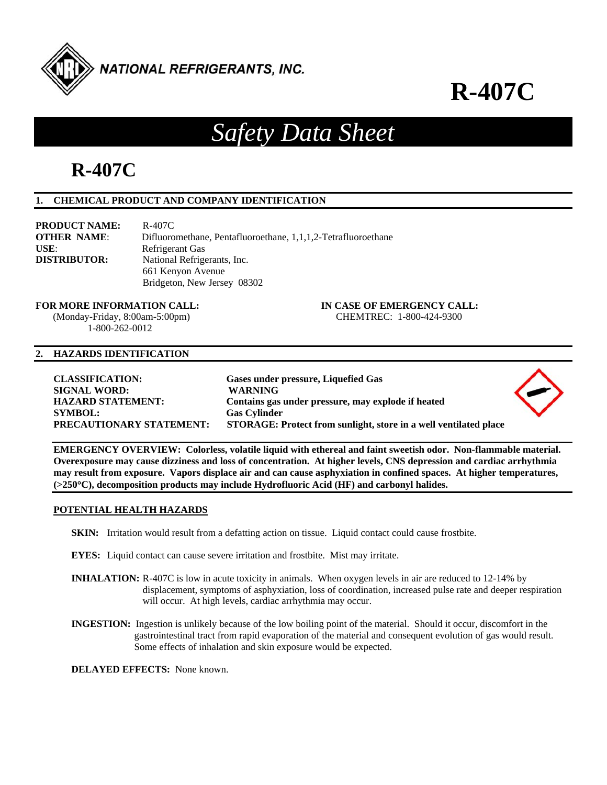

# **R-407C**

## *Safety Data Sheet*

## **R-407C**

### **1. CHEMICAL PRODUCT AND COMPANY IDENTIFICATION**

| <b>PRODUCT NAME:</b> | R-407C                                                        |
|----------------------|---------------------------------------------------------------|
| <b>OTHER NAME:</b>   | Difluoromethane, Pentafluoroethane, 1,1,1,2-Tetrafluoroethane |
| USE:                 | Refrigerant Gas                                               |
| <b>DISTRIBUTOR:</b>  | National Refrigerants, Inc.                                   |
|                      | 661 Kenyon Avenue                                             |
|                      | Bridgeton, New Jersey 08302                                   |

**FOR MORE INFORMATION CALL: IN CASE OF EMERGENCY CALL:** 

 (Monday-Friday, 8:00am-5:00pm) CHEMTREC: 1-800-424-9300 1-800-262-0012

#### **2. HAZARDS IDENTIFICATION**

| <b>CLASSIFICATION:</b><br><b>SIGNAL WORD:</b><br><b>HAZARD STATEMENT:</b> | Gases under pressure, Liquefied Gas<br><b>WARNING</b><br>Contains gas under pressure, may explode if heated |  |
|---------------------------------------------------------------------------|-------------------------------------------------------------------------------------------------------------|--|
| <b>SYMBOL:</b><br>PRECAUTIONARY STATEMENT:                                | <b>Gas Cylinder</b><br>STORAGE: Protect from sunlight, store in a well ventilated place                     |  |
|                                                                           |                                                                                                             |  |

**EMERGENCY OVERVIEW: Colorless, volatile liquid with ethereal and faint sweetish odor. Non-flammable material. Overexposure may cause dizziness and loss of concentration. At higher levels, CNS depression and cardiac arrhythmia may result from exposure. Vapors displace air and can cause asphyxiation in confined spaces. At higher temperatures, (>250C), decomposition products may include Hydrofluoric Acid (HF) and carbonyl halides.** 

#### **POTENTIAL HEALTH HAZARDS**

- **SKIN:** Irritation would result from a defatting action on tissue. Liquid contact could cause frostbite.
- **EYES:** Liquid contact can cause severe irritation and frostbite. Mist may irritate.
- **INHALATION:** R-407C is low in acute toxicity in animals. When oxygen levels in air are reduced to 12-14% by displacement, symptoms of asphyxiation, loss of coordination, increased pulse rate and deeper respiration will occur. At high levels, cardiac arrhythmia may occur.
- **INGESTION:** Ingestion is unlikely because of the low boiling point of the material. Should it occur, discomfort in the gastrointestinal tract from rapid evaporation of the material and consequent evolution of gas would result. Some effects of inhalation and skin exposure would be expected.

**DELAYED EFFECTS:** None known.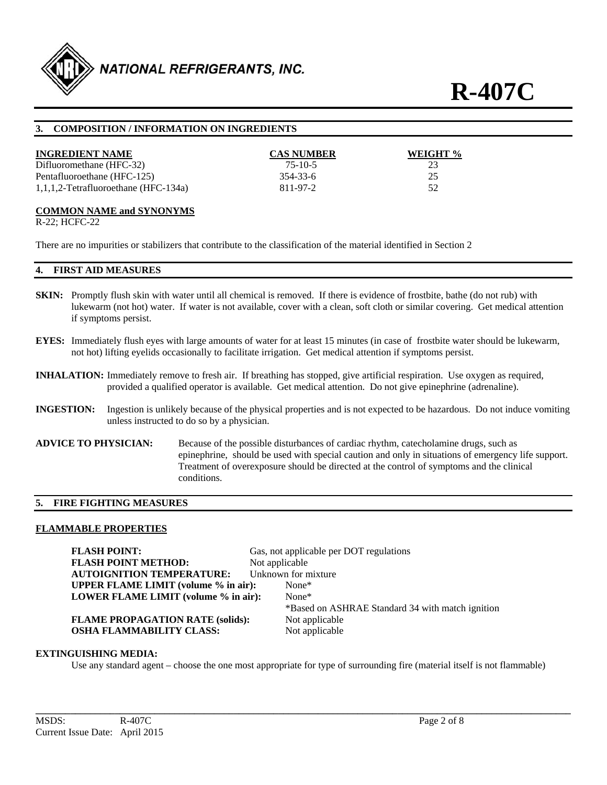

#### **3. COMPOSITION / INFORMATION ON INGREDIENTS**

| <b>INGREDIENT NAME</b>                  | <b>CAS NUMBER</b> | WEIGHT % |
|-----------------------------------------|-------------------|----------|
| Difluoromethane (HFC-32)                | $75-10-5$         | 23       |
| Pentafluoroethane (HFC-125)             | 354-33-6          | 25       |
| $1,1,1,2$ -Tetrafluoroethane (HFC-134a) | 811-97-2          | 52       |

#### **COMMON NAME and SYNONYMS**

R-22; HCFC-22

There are no impurities or stabilizers that contribute to the classification of the material identified in Section 2

#### **4. FIRST AID MEASURES**

- **SKIN:** Promptly flush skin with water until all chemical is removed. If there is evidence of frostbite, bathe (do not rub) with lukewarm (not hot) water. If water is not available, cover with a clean, soft cloth or similar covering. Get medical attention if symptoms persist.
- **EYES:** Immediately flush eyes with large amounts of water for at least 15 minutes (in case of frostbite water should be lukewarm, not hot) lifting eyelids occasionally to facilitate irrigation. Get medical attention if symptoms persist.
- **INHALATION:** Immediately remove to fresh air. If breathing has stopped, give artificial respiration. Use oxygen as required, provided a qualified operator is available. Get medical attention. Do not give epinephrine (adrenaline).
- **INGESTION:** Ingestion is unlikely because of the physical properties and is not expected to be hazardous. Do not induce vomiting unless instructed to do so by a physician.
- **ADVICE TO PHYSICIAN:** Because of the possible disturbances of cardiac rhythm, catecholamine drugs, such as epinephrine, should be used with special caution and only in situations of emergency life support. Treatment of overexposure should be directed at the control of symptoms and the clinical conditions.

#### **5. FIRE FIGHTING MEASURES**

#### **FLAMMABLE PROPERTIES**

**FLASH POINT:** Gas, not applicable per DOT regulations **FLASH POINT METHOD:** Not applicable **AUTOIGNITION TEMPERATURE:** Unknown for mixture **UPPER FLAME LIMIT (volume % in air):** None\* **LOWER FLAME LIMIT (volume % in air):** None\* \*Based on ASHRAE Standard 34 with match ignition **FLAME PROPAGATION RATE (solids):** Not applicable **OSHA FLAMMABILITY CLASS:** Not applicable

#### **EXTINGUISHING MEDIA:**

Use any standard agent – choose the one most appropriate for type of surrounding fire (material itself is not flammable)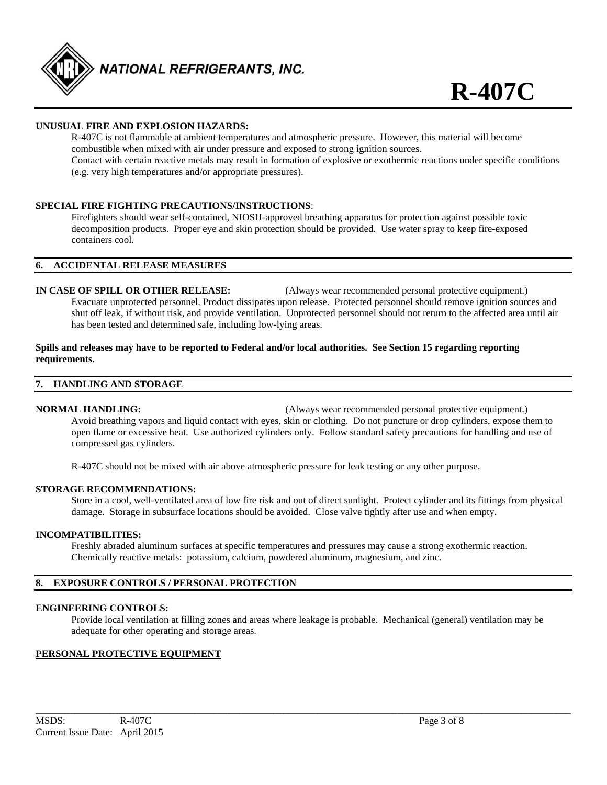

#### **UNUSUAL FIRE AND EXPLOSION HAZARDS:**

 R-407C is not flammable at ambient temperatures and atmospheric pressure. However, this material will become combustible when mixed with air under pressure and exposed to strong ignition sources. Contact with certain reactive metals may result in formation of explosive or exothermic reactions under specific conditions (e.g. very high temperatures and/or appropriate pressures).

#### **SPECIAL FIRE FIGHTING PRECAUTIONS/INSTRUCTIONS**:

 Firefighters should wear self-contained, NIOSH-approved breathing apparatus for protection against possible toxic decomposition products. Proper eye and skin protection should be provided. Use water spray to keep fire-exposed containers cool.

#### **6. ACCIDENTAL RELEASE MEASURES**

**IN CASE OF SPILL OR OTHER RELEASE:** (Always wear recommended personal protective equipment.) Evacuate unprotected personnel. Product dissipates upon release. Protected personnel should remove ignition sources and shut off leak, if without risk, and provide ventilation. Unprotected personnel should not return to the affected area until air has been tested and determined safe, including low-lying areas.

#### **Spills and releases may have to be reported to Federal and/or local authorities. See Section 15 regarding reporting requirements.**

#### **7. HANDLING AND STORAGE**

**NORMAL HANDLING:** (Always wear recommended personal protective equipment.)

 Avoid breathing vapors and liquid contact with eyes, skin or clothing. Do not puncture or drop cylinders, expose them to open flame or excessive heat. Use authorized cylinders only. Follow standard safety precautions for handling and use of compressed gas cylinders.

R-407C should not be mixed with air above atmospheric pressure for leak testing or any other purpose.

#### **STORAGE RECOMMENDATIONS:**

 Store in a cool, well-ventilated area of low fire risk and out of direct sunlight. Protect cylinder and its fittings from physical damage. Storage in subsurface locations should be avoided. Close valve tightly after use and when empty.

#### **INCOMPATIBILITIES:**

Freshly abraded aluminum surfaces at specific temperatures and pressures may cause a strong exothermic reaction. Chemically reactive metals: potassium, calcium, powdered aluminum, magnesium, and zinc.

#### **8. EXPOSURE CONTROLS / PERSONAL PROTECTION**

#### **ENGINEERING CONTROLS:**

 Provide local ventilation at filling zones and areas where leakage is probable. Mechanical (general) ventilation may be adequate for other operating and storage areas.

#### **PERSONAL PROTECTIVE EQUIPMENT**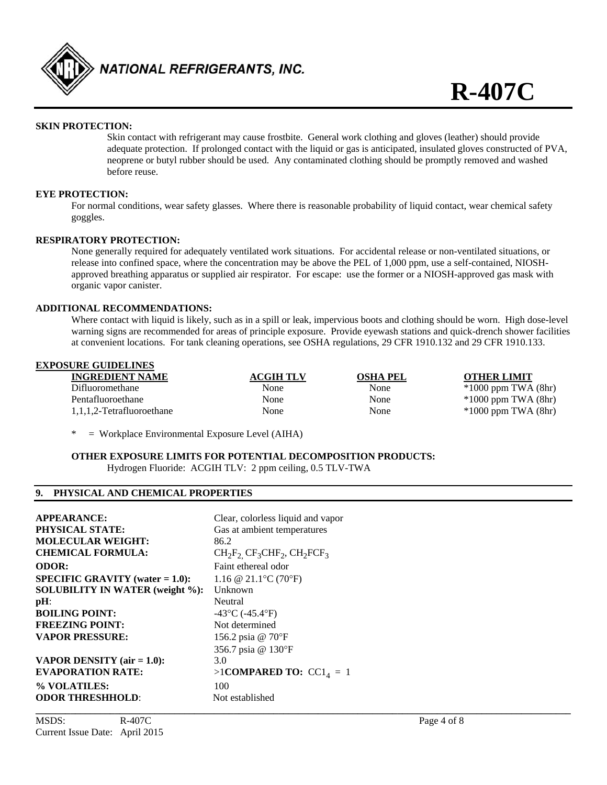

#### **SKIN PROTECTION:**

 Skin contact with refrigerant may cause frostbite. General work clothing and gloves (leather) should provide adequate protection. If prolonged contact with the liquid or gas is anticipated, insulated gloves constructed of PVA, neoprene or butyl rubber should be used. Any contaminated clothing should be promptly removed and washed before reuse.

#### **EYE PROTECTION:**

 For normal conditions, wear safety glasses. Where there is reasonable probability of liquid contact, wear chemical safety goggles.

#### **RESPIRATORY PROTECTION:**

None generally required for adequately ventilated work situations. For accidental release or non-ventilated situations, or release into confined space, where the concentration may be above the PEL of 1,000 ppm, use a self-contained, NIOSH approved breathing apparatus or supplied air respirator. For escape: use the former or a NIOSH-approved gas mask with organic vapor canister.

#### **ADDITIONAL RECOMMENDATIONS:**

 Where contact with liquid is likely, such as in a spill or leak, impervious boots and clothing should be worn. High dose-level warning signs are recommended for areas of principle exposure. Provide eyewash stations and quick-drench shower facilities at convenient locations. For tank cleaning operations, see OSHA regulations, 29 CFR 1910.132 and 29 CFR 1910.133.

| <b>EXPOSURE GUIDELINES</b> |                  |                 |                         |
|----------------------------|------------------|-----------------|-------------------------|
| <b>INGREDIENT NAME</b>     | <b>ACGIH TLV</b> | <b>OSHA PEL</b> | <b>OTHER LIMIT</b>      |
| Difluoromethane            | None             | None            | $*1000$ ppm TWA $(8hr)$ |
| Pentafluoroethane          | None             | None            | $*1000$ ppm TWA $(8hr)$ |
| 1,1,1,2-Tetrafluoroethane  | None             | None            | $*1000$ ppm TWA $(8hr)$ |

 $=$  Workplace Environmental Exposure Level (AIHA)

**OTHER EXPOSURE LIMITS FOR POTENTIAL DECOMPOSITION PRODUCTS:**  Hydrogen Fluoride: ACGIH TLV: 2 ppm ceiling, 0.5 TLV-TWA

#### **9. PHYSICAL AND CHEMICAL PROPERTIES**

| <b>APPEARANCE:</b>                     | Clear, colorless liquid and vapor      |
|----------------------------------------|----------------------------------------|
| <b>PHYSICAL STATE:</b>                 | Gas at ambient temperatures            |
| <b>MOLECULAR WEIGHT:</b>               | 86.2                                   |
| <b>CHEMICAL FORMULA:</b>               | $CH_2F_2$ , $CF_3CHF_2$ , $CH_2FCF_3$  |
| <b>ODOR:</b>                           | Faint ethereal odor                    |
| $SPECIFIC GRAVITY (water = 1.0):$      | 1.16 @ 21.1 °C (70 °F)                 |
| <b>SOLUBILITY IN WATER (weight %):</b> | Unknown                                |
| pH:                                    | Neutral                                |
| <b>BOILING POINT:</b>                  | $-43^{\circ}$ C ( $-45.4^{\circ}$ F)   |
| <b>FREEZING POINT:</b>                 | Not determined                         |
| <b>VAPOR PRESSURE:</b>                 | 156.2 psia @ 70°F                      |
|                                        | 356.7 psia @ 130°F                     |
| <b>VAPOR DENSITY</b> (air $= 1.0$ ):   | 3.0                                    |
| <b>EVAPORATION RATE:</b>               | $>1$ COMPARED TO: CC1 <sub>4</sub> = 1 |
| % VOLATILES:                           | 100                                    |
| <b>ODOR THRESHHOLD:</b>                | Not established                        |
|                                        |                                        |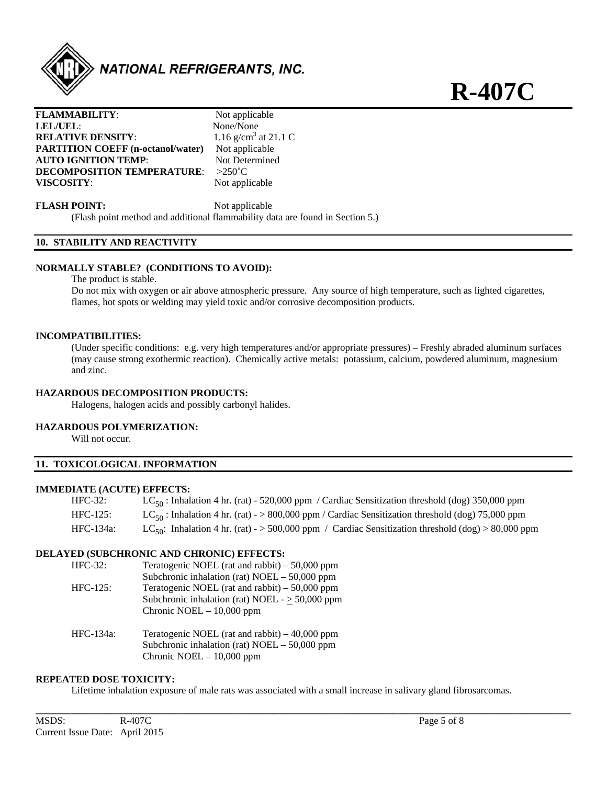

**R-407C**

| <b>FLAMMABILITY:</b>                     | Not applicable                   |
|------------------------------------------|----------------------------------|
| <b>LEL/UEL:</b>                          | None/None                        |
| <b>RELATIVE DENSITY:</b>                 | 1.16 g/cm <sup>3</sup> at 21.1 C |
| <b>PARTITION COEFF (n-octanol/water)</b> | Not applicable                   |
| <b>AUTO IGNITION TEMP:</b>               | Not Determined                   |
| <b>DECOMPOSITION TEMPERATURE:</b>        | $>250^{\circ}$ C                 |
| <b>VISCOSITY:</b>                        | Not applicable                   |
|                                          |                                  |

**FLASH POINT:** Not applicable

(Flash point method and additional flammability data are found in Section 5.)

### **10. STABILITY AND REACTIVITY**

#### **NORMALLY STABLE? (CONDITIONS TO AVOID):**

The product is stable.

 Do not mix with oxygen or air above atmospheric pressure. Any source of high temperature, such as lighted cigarettes, flames, hot spots or welding may yield toxic and/or corrosive decomposition products.

#### **INCOMPATIBILITIES:**

 (Under specific conditions: e.g. very high temperatures and/or appropriate pressures) – Freshly abraded aluminum surfaces (may cause strong exothermic reaction). Chemically active metals: potassium, calcium, powdered aluminum, magnesium and zinc.

#### **HAZARDOUS DECOMPOSITION PRODUCTS:**

Halogens, halogen acids and possibly carbonyl halides.

#### **HAZARDOUS POLYMERIZATION:**

Will not occur.

#### **11. TOXICOLOGICAL INFORMATION**

#### **IMMEDIATE (ACUTE) EFFECTS:**

| $HFC-32:$  | $LC_{50}$ : Inhalation 4 hr. (rat) - 520,000 ppm / Cardiac Sensitization threshold (dog) 350,000 ppm           |
|------------|----------------------------------------------------------------------------------------------------------------|
| $HFC-125:$ | $LC_{50}$ : Inhalation 4 hr. (rat) - > 800,000 ppm / Cardiac Sensitization threshold (dog) 75,000 ppm          |
| HFC-134a:  | LC <sub>50</sub> : Inhalation 4 hr. (rat) - > 500,000 ppm / Cardiac Sensitization threshold (dog) > 80,000 ppm |

#### **DELAYED (SUBCHRONIC AND CHRONIC) EFFECTS:**

| $HFC-32:$   | Teratogenic NOEL (rat and rabbit) $-50,000$ ppm      |
|-------------|------------------------------------------------------|
|             | Subchronic inhalation (rat) $NOEL - 50,000$ ppm      |
| $HFC-125$ : | Teratogenic NOEL (rat and rabbit) $-50,000$ ppm      |
|             | Subchronic inhalation (rat) NOEL - $\geq$ 50,000 ppm |
|             | Chronic NOEL $-10,000$ ppm                           |
|             |                                                      |

HFC-134a: Teratogenic NOEL (rat and rabbit) – 40,000 ppm Subchronic inhalation (rat) NOEL – 50,000 ppm Chronic NOEL – 10,000 ppm

#### **REPEATED DOSE TOXICITY:**

Lifetime inhalation exposure of male rats was associated with a small increase in salivary gland fibrosarcomas.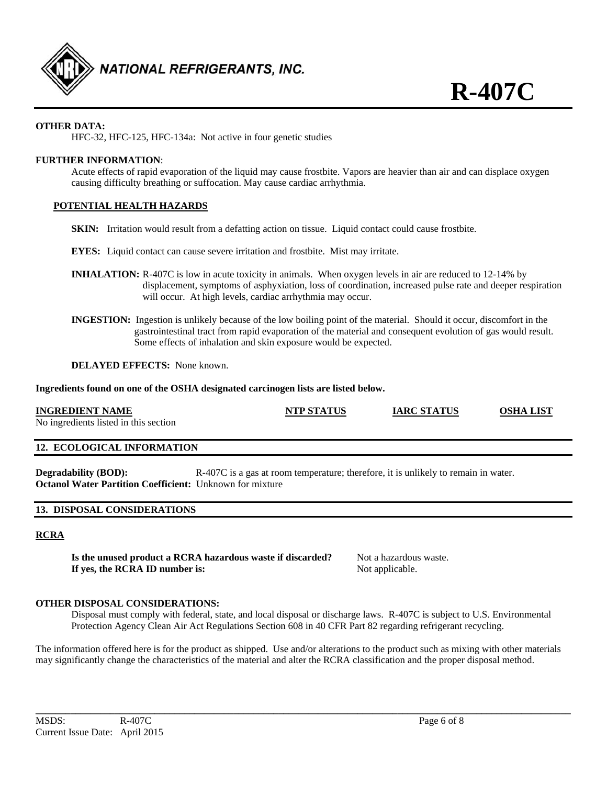

### **OTHER DATA:**

HFC-32, HFC-125, HFC-134a: Not active in four genetic studies

#### **FURTHER INFORMATION**:

Acute effects of rapid evaporation of the liquid may cause frostbite. Vapors are heavier than air and can displace oxygen causing difficulty breathing or suffocation. May cause cardiac arrhythmia.

#### **POTENTIAL HEALTH HAZARDS**

**SKIN:** Irritation would result from a defatting action on tissue. Liquid contact could cause frostbite.

**EYES:** Liquid contact can cause severe irritation and frostbite. Mist may irritate.

- **INHALATION:** R-407C is low in acute toxicity in animals. When oxygen levels in air are reduced to 12-14% by displacement, symptoms of asphyxiation, loss of coordination, increased pulse rate and deeper respiration will occur. At high levels, cardiac arrhythmia may occur.
- **INGESTION:** Ingestion is unlikely because of the low boiling point of the material. Should it occur, discomfort in the gastrointestinal tract from rapid evaporation of the material and consequent evolution of gas would result. Some effects of inhalation and skin exposure would be expected.

**DELAYED EFFECTS:** None known.

**Ingredients found on one of the OSHA designated carcinogen lists are listed below.** 

| <b>INGREDIENT NAME</b><br>No ingredients listed in this section | <b>NTP STATUS</b> | <b>IARC STATUS</b> | <b>OSHA LIST</b> |
|-----------------------------------------------------------------|-------------------|--------------------|------------------|
| <b>12. ECOLOGICAL INFORMATION</b>                               |                   |                    |                  |

**Degradability (BOD):** R-407C is a gas at room temperature; therefore, it is unlikely to remain in water. **Octanol Water Partition Coefficient:** Unknown for mixture

#### **13. DISPOSAL CONSIDERATIONS**

#### **RCRA**

**Is the unused product a RCRA hazardous waste if discarded?** Not a hazardous waste. **If yes, the RCRA ID number is:** Not applicable.

#### **OTHER DISPOSAL CONSIDERATIONS:**

 Disposal must comply with federal, state, and local disposal or discharge laws. R-407C is subject to U.S. Environmental Protection Agency Clean Air Act Regulations Section 608 in 40 CFR Part 82 regarding refrigerant recycling.

The information offered here is for the product as shipped. Use and/or alterations to the product such as mixing with other materials may significantly change the characteristics of the material and alter the RCRA classification and the proper disposal method.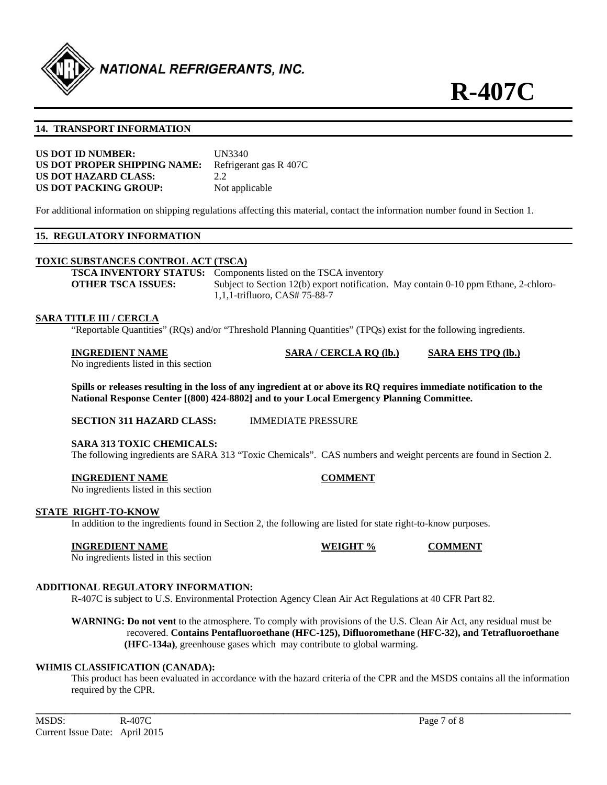

#### **14. TRANSPORT INFORMATION**

| <b>US DOT ID NUMBER:</b>     | UN3340                 |
|------------------------------|------------------------|
| US DOT PROPER SHIPPING NAME: | Refrigerant gas R 407C |
| <b>US DOT HAZARD CLASS:</b>  | 2.2                    |
| US DOT PACKING GROUP:        | Not applicable         |

For additional information on shipping regulations affecting this material, contact the information number found in Section 1.

#### **15. REGULATORY INFORMATION**

#### **TOXIC SUBSTANCES CONTROL ACT (TSCA)**

**TSCA INVENTORY STATUS:** Components listed on the TSCA inventory **OTHER TSCA ISSUES:** Subject to Section 12(b) export notification. May contain 0-10 ppm Ethane, 2-chloro-1,1,1-trifluoro, CAS# 75-88-7

#### **SARA TITLE III / CERCLA**

"Reportable Quantities" (RQs) and/or "Threshold Planning Quantities" (TPQs) exist for the following ingredients.

| <b>INGREDIENT NAME</b>                | SARA / CERCLA RO (lb.) | <b>SARA EHS TPO (lb.)</b> |
|---------------------------------------|------------------------|---------------------------|
| No ingredients listed in this section |                        |                           |

**Spills or releases resulting in the loss of any ingredient at or above its RQ requires immediate notification to the National Response Center [(800) 424-8802] and to your Local Emergency Planning Committee.** 

**SECTION 311 HAZARD CLASS:** IMMEDIATE PRESSURE

#### **SARA 313 TOXIC CHEMICALS:**

The following ingredients are SARA 313 "Toxic Chemicals". CAS numbers and weight percents are found in Section 2.

#### **INGREDIENT NAME COMMENT**

No ingredients listed in this section

#### **STATE RIGHT-TO-KNOW**

In addition to the ingredients found in Section 2, the following are listed for state right-to-know purposes.

#### **INGREDIENT NAME WEIGHT % COMMENT**

No ingredients listed in this section

#### **ADDITIONAL REGULATORY INFORMATION:**

R-407C is subject to U.S. Environmental Protection Agency Clean Air Act Regulations at 40 CFR Part 82.

**WARNING: Do not vent** to the atmosphere. To comply with provisions of the U.S. Clean Air Act, any residual must be recovered. **Contains Pentafluoroethane (HFC-125), Difluoromethane (HFC-32), and Tetrafluoroethane (HFC-134a)**, greenhouse gases which may contribute to global warming.

#### **WHMIS CLASSIFICATION (CANADA):**

 This product has been evaluated in accordance with the hazard criteria of the CPR and the MSDS contains all the information required by the CPR.